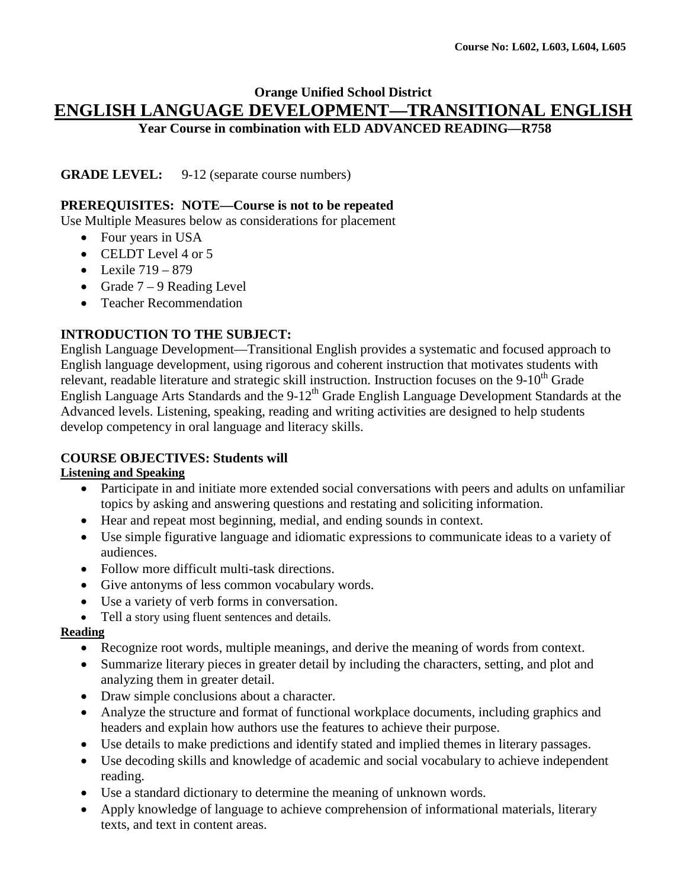### **Orange Unified School District ENGLISH LANGUAGE DEVELOPMENT—TRANSITIONAL ENGLISH Year Course in combination with ELD ADVANCED READING—R758**

**GRADE LEVEL:** 9-12 (separate course numbers)

#### **PREREQUISITES: NOTE—Course is not to be repeated**

Use Multiple Measures below as considerations for placement

- Four years in USA
- CELDT Level 4 or 5
- Lexile  $719 879$
- Grade  $7 9$  Reading Level
- Teacher Recommendation

#### **INTRODUCTION TO THE SUBJECT:**

English Language Development—Transitional English provides a systematic and focused approach to English language development, using rigorous and coherent instruction that motivates students with relevant, readable literature and strategic skill instruction. Instruction focuses on the 9-10<sup>th</sup> Grade English Language Arts Standards and the 9-12<sup>th</sup> Grade English Language Development Standards at the Advanced levels. Listening, speaking, reading and writing activities are designed to help students develop competency in oral language and literacy skills.

### **COURSE OBJECTIVES: Students will**

#### **Listening and Speaking**

- Participate in and initiate more extended social conversations with peers and adults on unfamiliar topics by asking and answering questions and restating and soliciting information.
- Hear and repeat most beginning, medial, and ending sounds in context.
- Use simple figurative language and idiomatic expressions to communicate ideas to a variety of audiences.
- Follow more difficult multi-task directions.
- Give antonyms of less common vocabulary words.
- Use a variety of verb forms in conversation.
- Tell a story using fluent sentences and details.

#### **Reading**

- Recognize root words, multiple meanings, and derive the meaning of words from context.
- Summarize literary pieces in greater detail by including the characters, setting, and plot and analyzing them in greater detail.
- Draw simple conclusions about a character.
- Analyze the structure and format of functional workplace documents, including graphics and headers and explain how authors use the features to achieve their purpose.
- Use details to make predictions and identify stated and implied themes in literary passages.
- Use decoding skills and knowledge of academic and social vocabulary to achieve independent reading.
- Use a standard dictionary to determine the meaning of unknown words.
- Apply knowledge of language to achieve comprehension of informational materials, literary texts, and text in content areas.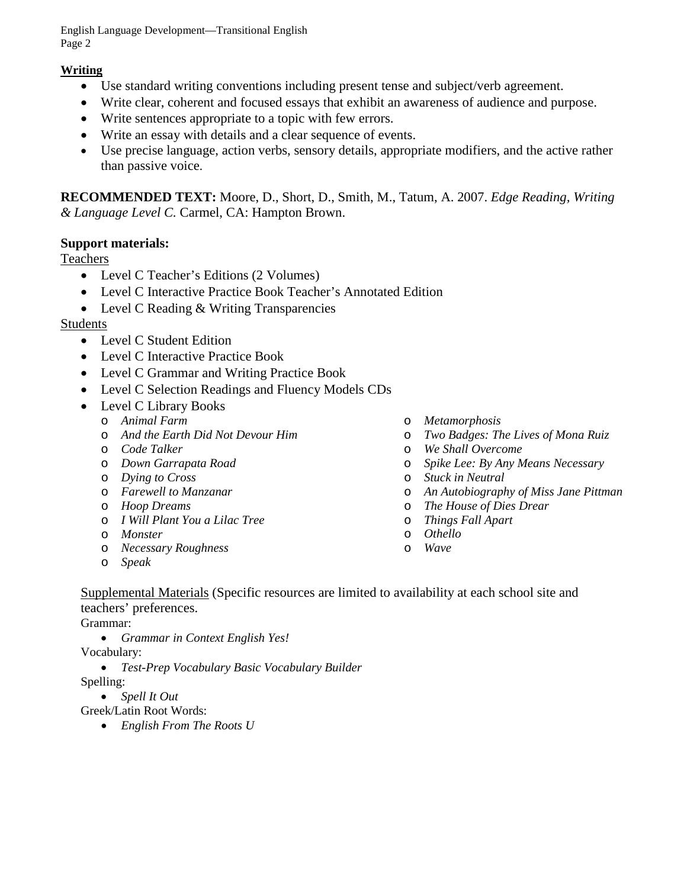English Language Development—Transitional English Page 2

# **Writing**

- Use standard writing conventions including present tense and subject/verb agreement.
- Write clear, coherent and focused essays that exhibit an awareness of audience and purpose.
- Write sentences appropriate to a topic with few errors.
- Write an essay with details and a clear sequence of events.
- Use precise language, action verbs, sensory details, appropriate modifiers, and the active rather than passive voice.

**RECOMMENDED TEXT:** Moore, D., Short, D., Smith, M., Tatum, A. 2007. *Edge Reading, Writing & Language Level C.* Carmel, CA: Hampton Brown.

# **Support materials:**

### **Teachers**

- Level C Teacher's Editions (2 Volumes)
- Level C Interactive Practice Book Teacher's Annotated Edition
- Level C Reading & Writing Transparencies

# Students

- Level C Student Edition
- Level C Interactive Practice Book
- Level C Grammar and Writing Practice Book
- Level C Selection Readings and Fluency Models CDs
- Level C Library Books
	- o *Animal Farm*
	- o *And the Earth Did Not Devour Him*
	- o *Code Talker*
	- o *Down Garrapata Road*
	- o *Dying to Cross*
	- o *Farewell to Manzanar*
	- o *Hoop Dreams*
	- o *I Will Plant You a Lilac Tree*
	- o *Monster*
	- o *Necessary Roughness*
	- o *Speak*
- o *Metamorphosis*
- o *Two Badges: The Lives of Mona Ruiz*
- o *We Shall Overcome*
- o *Spike Lee: By Any Means Necessary*
- o *Stuck in Neutral*
- o *An Autobiography of Miss Jane Pittman*
- o *The House of Dies Drear*
- o *Things Fall Apart*
- o *Othello*
- o *Wave*
- Supplemental Materials (Specific resources are limited to availability at each school site and teachers' preferences.

Grammar:

• *Grammar in Context English Yes!*

Vocabulary:

• *Test-Prep Vocabulary Basic Vocabulary Builder*

Spelling:

• *Spell It Out*

Greek/Latin Root Words:

• *English From The Roots U*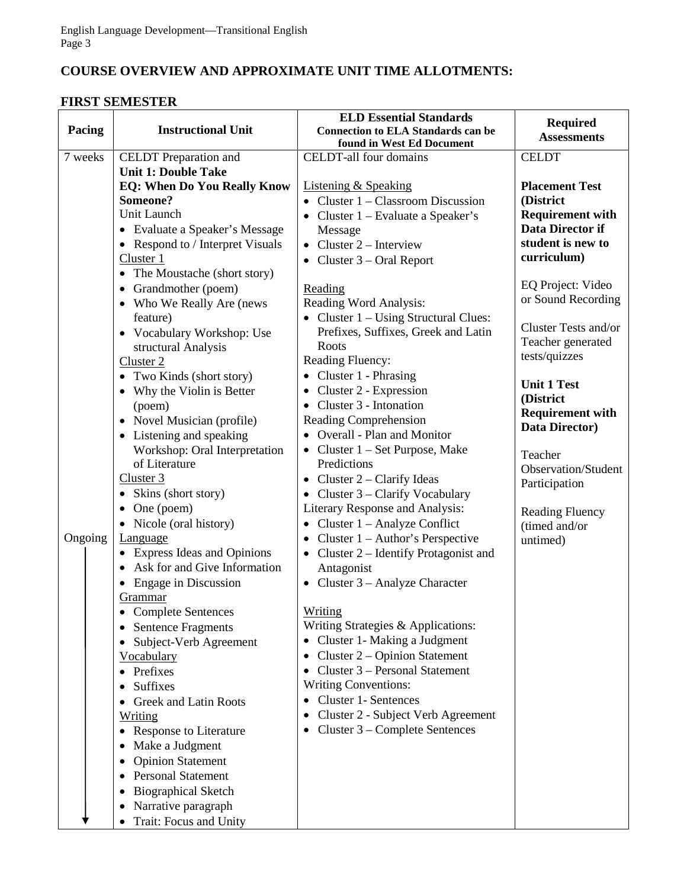# **COURSE OVERVIEW AND APPROXIMATE UNIT TIME ALLOTMENTS:**

# **FIRST SEMESTER**

| Pacing  | <b>Instructional Unit</b>                      | <b>ELD Essential Standards</b>                                          | <b>Required</b>                           |
|---------|------------------------------------------------|-------------------------------------------------------------------------|-------------------------------------------|
|         |                                                | <b>Connection to ELA Standards can be</b><br>found in West Ed Document  | <b>Assessments</b>                        |
| 7 weeks | <b>CELDT</b> Preparation and                   | CELDT-all four domains                                                  | <b>CELDT</b>                              |
|         | <b>Unit 1: Double Take</b>                     |                                                                         |                                           |
|         | <b>EQ: When Do You Really Know</b><br>Someone? | <b>Listening &amp; Speaking</b><br>• Cluster $1 -$ Classroom Discussion | <b>Placement Test</b><br>(District        |
|         | Unit Launch                                    |                                                                         | <b>Requirement with</b>                   |
|         | • Evaluate a Speaker's Message                 | • Cluster $1 - Evaluate a Speaker's$<br>Message                         | Data Director if                          |
|         | • Respond to / Interpret Visuals               | • Cluster $2$ – Interview                                               | student is new to                         |
|         | Cluster 1                                      | • Cluster $3$ – Oral Report                                             | curriculum)                               |
|         | • The Moustache (short story)                  |                                                                         |                                           |
|         | Grandmother (poem)<br>$\bullet$                | Reading                                                                 | EQ Project: Video                         |
|         | • Who We Really Are (news                      | Reading Word Analysis:                                                  | or Sound Recording                        |
|         | feature)                                       | • Cluster 1 – Using Structural Clues:                                   |                                           |
|         | • Vocabulary Workshop: Use                     | Prefixes, Suffixes, Greek and Latin                                     | Cluster Tests and/or<br>Teacher generated |
|         | structural Analysis                            | Roots                                                                   | tests/quizzes                             |
|         | Cluster <sub>2</sub>                           | Reading Fluency:                                                        |                                           |
|         | • Two Kinds (short story)                      | • Cluster 1 - Phrasing                                                  | <b>Unit 1 Test</b>                        |
|         | • Why the Violin is Better<br>(poem)           | • Cluster $2$ - Expression<br>$\bullet$ Cluster 3 - Intonation          | (District                                 |
|         | • Novel Musician (profile)                     | Reading Comprehension                                                   | <b>Requirement with</b>                   |
|         | • Listening and speaking                       | <b>Overall - Plan and Monitor</b><br>$\bullet$                          | <b>Data Director)</b>                     |
|         | Workshop: Oral Interpretation                  | • Cluster $1 - Set$ Purpose, Make                                       |                                           |
|         | of Literature                                  | Predictions                                                             | Teacher<br><b>Observation/Student</b>     |
|         | Cluster 3                                      | • Cluster $2$ – Clarify Ideas                                           | Participation                             |
|         | Skins (short story)<br>٠                       | Cluster 3 – Clarify Vocabulary                                          |                                           |
|         | One (poem)<br>$\bullet$                        | Literary Response and Analysis:                                         | <b>Reading Fluency</b>                    |
|         | Nicole (oral history)<br>$\bullet$             | • Cluster $1 -$ Analyze Conflict                                        | (timed and/or                             |
| Ongoing | Language                                       | • Cluster $1 -$ Author's Perspective                                    | untimed)                                  |
|         | • Express Ideas and Opinions                   | • Cluster $2$ – Identify Protagonist and                                |                                           |
|         | Ask for and Give Information                   | Antagonist                                                              |                                           |
|         | Engage in Discussion<br>$\bullet$<br>Grammar   | • Cluster $3 -$ Analyze Character                                       |                                           |
|         | <b>Complete Sentences</b>                      | Writing                                                                 |                                           |
|         | <b>Sentence Fragments</b>                      | Writing Strategies & Applications:                                      |                                           |
|         | Subject-Verb Agreement                         | • Cluster 1- Making a Judgment                                          |                                           |
|         | Vocabulary                                     | Cluster 2 – Opinion Statement<br>$\bullet$                              |                                           |
|         | Prefixes<br>٠                                  | Cluster 3 – Personal Statement<br>$\bullet$                             |                                           |
|         | Suffixes                                       | <b>Writing Conventions:</b>                                             |                                           |
|         | <b>Greek and Latin Roots</b>                   | <b>Cluster 1- Sentences</b>                                             |                                           |
|         | Writing                                        | Cluster 2 - Subject Verb Agreement<br>٠                                 |                                           |
|         | <b>Response to Literature</b>                  | Cluster 3 – Complete Sentences<br>٠                                     |                                           |
|         | Make a Judgment                                |                                                                         |                                           |
|         | <b>Opinion Statement</b>                       |                                                                         |                                           |
|         | <b>Personal Statement</b>                      |                                                                         |                                           |
|         | <b>Biographical Sketch</b><br>٠                |                                                                         |                                           |
|         | Narrative paragraph<br>٠                       |                                                                         |                                           |
|         | Trait: Focus and Unity                         |                                                                         |                                           |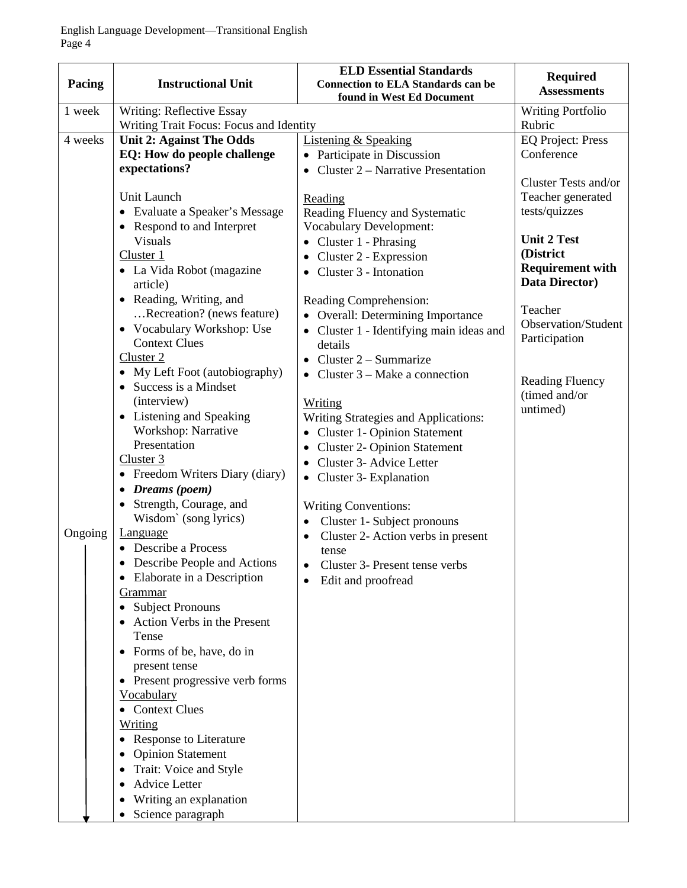| Pacing  | <b>Instructional Unit</b>                    | <b>ELD Essential Standards</b><br><b>Connection to ELA Standards can be</b><br>found in West Ed Document | <b>Required</b><br><b>Assessments</b>   |
|---------|----------------------------------------------|----------------------------------------------------------------------------------------------------------|-----------------------------------------|
| 1 week  | Writing: Reflective Essay                    |                                                                                                          | <b>Writing Portfolio</b>                |
|         | Writing Trait Focus: Focus and Identity      |                                                                                                          | Rubric                                  |
| 4 weeks | <b>Unit 2: Against The Odds</b>              | <b>Listening &amp; Speaking</b>                                                                          | <b>EQ Project: Press</b>                |
|         | EQ: How do people challenge                  | • Participate in Discussion                                                                              | Conference                              |
|         | expectations?                                | Cluster 2 – Narrative Presentation                                                                       |                                         |
|         |                                              |                                                                                                          | Cluster Tests and/or                    |
|         | Unit Launch                                  | Reading                                                                                                  | Teacher generated                       |
|         | • Evaluate a Speaker's Message               | Reading Fluency and Systematic                                                                           | tests/quizzes                           |
|         | • Respond to and Interpret<br><b>Visuals</b> | <b>Vocabulary Development:</b>                                                                           | <b>Unit 2 Test</b>                      |
|         | Cluster 1                                    | • Cluster 1 - Phrasing                                                                                   | (District                               |
|         | • La Vida Robot (magazine                    | Cluster 2 - Expression<br>Cluster 3 - Intonation                                                         | <b>Requirement with</b>                 |
|         | article)                                     | ٠                                                                                                        | <b>Data Director)</b>                   |
|         | • Reading, Writing, and                      | Reading Comprehension:                                                                                   |                                         |
|         | Recreation? (news feature)                   | • Overall: Determining Importance                                                                        | Teacher                                 |
|         | • Vocabulary Workshop: Use                   | • Cluster 1 - Identifying main ideas and                                                                 | <b>Observation/Student</b>              |
|         | <b>Context Clues</b>                         | details                                                                                                  | Participation                           |
|         | Cluster 2                                    | Cluster $2 -$ Summarize<br>$\bullet$                                                                     |                                         |
|         | • My Left Foot (autobiography)               | • Cluster $3 - Make$ a connection                                                                        |                                         |
|         | • Success is a Mindset                       |                                                                                                          | <b>Reading Fluency</b><br>(timed and/or |
|         | (interview)                                  | <b>Writing</b>                                                                                           | untimed)                                |
|         | • Listening and Speaking                     | Writing Strategies and Applications:                                                                     |                                         |
|         | Workshop: Narrative<br>Presentation          | <b>Cluster 1- Opinion Statement</b>                                                                      |                                         |
|         | Cluster 3                                    | <b>Cluster 2- Opinion Statement</b><br>$\bullet$                                                         |                                         |
|         | • Freedom Writers Diary (diary)              | Cluster 3- Advice Letter<br>$\bullet$                                                                    |                                         |
|         | Dreams (poem)<br>$\bullet$                   | • Cluster 3- Explanation                                                                                 |                                         |
|         | Strength, Courage, and                       | <b>Writing Conventions:</b>                                                                              |                                         |
|         | Wisdom' (song lyrics)                        | Cluster 1- Subject pronouns<br>$\bullet$                                                                 |                                         |
| Ongoing | <b>Language</b>                              | Cluster 2- Action verbs in present<br>$\bullet$                                                          |                                         |
|         | Describe a Process                           | tense                                                                                                    |                                         |
|         | • Describe People and Actions                | Cluster 3- Present tense verbs                                                                           |                                         |
|         | Elaborate in a Description                   | Edit and proofread                                                                                       |                                         |
|         | <u>Grammar</u>                               |                                                                                                          |                                         |
|         | <b>Subject Pronouns</b>                      |                                                                                                          |                                         |
|         | Action Verbs in the Present                  |                                                                                                          |                                         |
|         | Tense<br>• Forms of be, have, do in          |                                                                                                          |                                         |
|         | present tense                                |                                                                                                          |                                         |
|         | • Present progressive verb forms             |                                                                                                          |                                         |
|         | Vocabulary                                   |                                                                                                          |                                         |
|         | <b>Context Clues</b>                         |                                                                                                          |                                         |
|         | <u>Writing</u>                               |                                                                                                          |                                         |
|         | <b>Response to Literature</b>                |                                                                                                          |                                         |
|         | <b>Opinion Statement</b>                     |                                                                                                          |                                         |
|         | Trait: Voice and Style                       |                                                                                                          |                                         |
|         | <b>Advice Letter</b>                         |                                                                                                          |                                         |
|         | Writing an explanation                       |                                                                                                          |                                         |
|         | Science paragraph                            |                                                                                                          |                                         |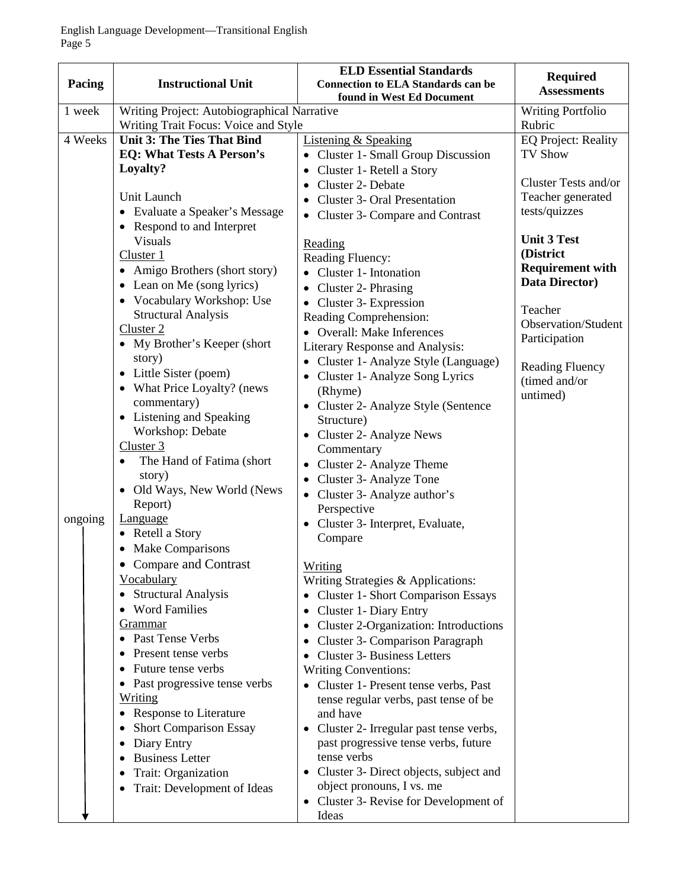| Pacing  | <b>Instructional Unit</b>                   | <b>ELD Essential Standards</b><br><b>Connection to ELA Standards can be</b><br>found in West Ed Document | <b>Required</b><br><b>Assessments</b> |
|---------|---------------------------------------------|----------------------------------------------------------------------------------------------------------|---------------------------------------|
| 1 week  | Writing Project: Autobiographical Narrative |                                                                                                          | Writing Portfolio                     |
|         | Writing Trait Focus: Voice and Style        |                                                                                                          | Rubric                                |
| 4 Weeks | <b>Unit 3: The Ties That Bind</b>           | <b>Listening &amp; Speaking</b>                                                                          | <b>EQ Project: Reality</b>            |
|         | <b>EQ: What Tests A Person's</b>            | • Cluster 1- Small Group Discussion                                                                      | <b>TV Show</b>                        |
|         | Loyalty?                                    | Cluster 1- Retell a Story                                                                                | Cluster Tests and/or                  |
|         | Unit Launch                                 | Cluster 2- Debate<br>$\bullet$                                                                           | Teacher generated                     |
|         | • Evaluate a Speaker's Message              | <b>Cluster 3- Oral Presentation</b><br>٠                                                                 | tests/quizzes                         |
|         | • Respond to and Interpret                  | • Cluster 3- Compare and Contrast                                                                        |                                       |
|         | <b>Visuals</b>                              | Reading                                                                                                  | <b>Unit 3 Test</b>                    |
|         | Cluster 1                                   | Reading Fluency:                                                                                         | (District                             |
|         | • Amigo Brothers (short story)              | • Cluster 1- Intonation                                                                                  | <b>Requirement with</b>               |
|         | • Lean on Me (song lyrics)                  | Cluster 2- Phrasing<br>$\bullet$                                                                         | Data Director)                        |
|         | • Vocabulary Workshop: Use                  | Cluster 3- Expression<br>$\bullet$                                                                       | Teacher                               |
|         | <b>Structural Analysis</b>                  | Reading Comprehension:                                                                                   | Observation/Student                   |
|         | Cluster 2                                   | • Overall: Make Inferences                                                                               | Participation                         |
|         | • My Brother's Keeper (short                | Literary Response and Analysis:                                                                          |                                       |
|         | story)<br>• Little Sister (poem)            | Cluster 1- Analyze Style (Language)<br>٠                                                                 | <b>Reading Fluency</b>                |
|         | • What Price Loyalty? (news                 | • Cluster 1- Analyze Song Lyrics                                                                         | (timed and/or                         |
|         | commentary)                                 | (Rhyme)                                                                                                  | untimed)                              |
|         | • Listening and Speaking                    | Cluster 2- Analyze Style (Sentence<br>Structure)                                                         |                                       |
|         | Workshop: Debate                            | Cluster 2- Analyze News                                                                                  |                                       |
|         | Cluster 3                                   | Commentary                                                                                               |                                       |
|         | The Hand of Fatima (short)                  | Cluster 2- Analyze Theme<br>$\bullet$                                                                    |                                       |
|         | story)                                      | Cluster 3- Analyze Tone<br>٠                                                                             |                                       |
|         | Old Ways, New World (News                   | • Cluster 3- Analyze author's                                                                            |                                       |
|         | Report)                                     | Perspective                                                                                              |                                       |
| ongoing | Language<br>• Retell a Story                | Cluster 3- Interpret, Evaluate,                                                                          |                                       |
|         | <b>Make Comparisons</b>                     | Compare                                                                                                  |                                       |
|         | <b>Compare and Contrast</b><br>$\bullet$    |                                                                                                          |                                       |
|         | <b>Vocabulary</b>                           | Writing<br>Writing Strategies & Applications:                                                            |                                       |
|         | <b>Structural Analysis</b>                  | • Cluster 1- Short Comparison Essays                                                                     |                                       |
|         | <b>Word Families</b>                        | Cluster 1- Diary Entry<br>٠                                                                              |                                       |
|         | Grammar                                     | Cluster 2-Organization: Introductions<br>$\bullet$                                                       |                                       |
|         | Past Tense Verbs                            | Cluster 3- Comparison Paragraph<br>$\bullet$                                                             |                                       |
|         | Present tense verbs                         | <b>Cluster 3- Business Letters</b><br>٠                                                                  |                                       |
|         | Future tense verbs<br>٠                     | <b>Writing Conventions:</b>                                                                              |                                       |
|         | Past progressive tense verbs                | Cluster 1- Present tense verbs, Past                                                                     |                                       |
|         | Writing                                     | tense regular verbs, past tense of be                                                                    |                                       |
|         | <b>Response to Literature</b>               | and have                                                                                                 |                                       |
|         | <b>Short Comparison Essay</b><br>٠          | Cluster 2- Irregular past tense verbs,                                                                   |                                       |
|         | Diary Entry<br>٠<br><b>Business Letter</b>  | past progressive tense verbs, future<br>tense verbs                                                      |                                       |
|         | Trait: Organization                         | Cluster 3- Direct objects, subject and<br>٠                                                              |                                       |
|         | Trait: Development of Ideas<br>٠            | object pronouns, I vs. me                                                                                |                                       |
|         |                                             | • Cluster 3- Revise for Development of                                                                   |                                       |
|         |                                             | Ideas                                                                                                    |                                       |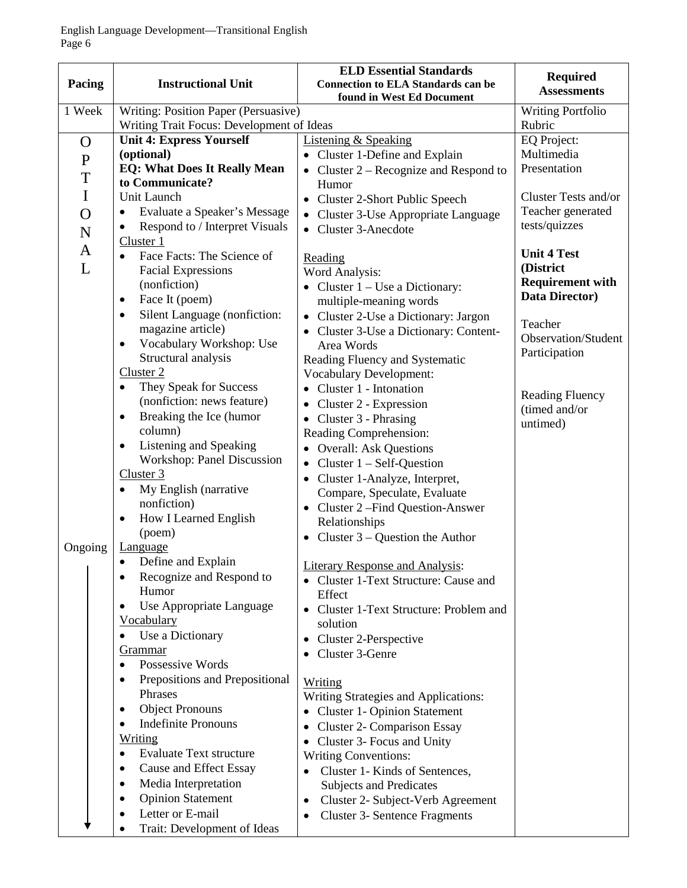| Pacing         | <b>Instructional Unit</b>                   | <b>ELD Essential Standards</b><br><b>Connection to ELA Standards can be</b><br>found in West Ed Document | <b>Required</b><br><b>Assessments</b> |
|----------------|---------------------------------------------|----------------------------------------------------------------------------------------------------------|---------------------------------------|
| 1 Week         | Writing: Position Paper (Persuasive)        |                                                                                                          | <b>Writing Portfolio</b>              |
|                | Writing Trait Focus: Development of Ideas   |                                                                                                          | Rubric                                |
| $\mathbf O$    | <b>Unit 4: Express Yourself</b>             | <b>Listening &amp; Speaking</b>                                                                          | EQ Project:                           |
| ${\bf P}$      | (optional)                                  | • Cluster 1-Define and Explain                                                                           | Multimedia                            |
|                | <b>EQ: What Does It Really Mean</b>         | Cluster 2 – Recognize and Respond to                                                                     | Presentation                          |
| T              | to Communicate?                             | Humor                                                                                                    |                                       |
| $\mathbf I$    | Unit Launch                                 | <b>Cluster 2-Short Public Speech</b><br>$\bullet$                                                        | Cluster Tests and/or                  |
| $\overline{O}$ | Evaluate a Speaker's Message<br>$\bullet$   | Cluster 3-Use Appropriate Language<br>$\bullet$                                                          | Teacher generated                     |
| N              | Respond to / Interpret Visuals<br>٠         | • Cluster 3-Anecdote                                                                                     | tests/quizzes                         |
| $\mathbf{A}$   | Cluster 1                                   |                                                                                                          | <b>Unit 4 Test</b>                    |
| L              | Face Facts: The Science of<br>$\bullet$     | Reading                                                                                                  | (District                             |
|                | <b>Facial Expressions</b>                   | Word Analysis:                                                                                           | <b>Requirement with</b>               |
|                | (nonfiction)                                | Cluster $1 -$ Use a Dictionary:                                                                          | Data Director)                        |
|                | Face It (poem)<br>٠                         | multiple-meaning words                                                                                   |                                       |
|                | Silent Language (nonfiction:<br>$\bullet$   | Cluster 2-Use a Dictionary: Jargon<br>$\bullet$                                                          | Teacher                               |
|                | magazine article)                           | Cluster 3-Use a Dictionary: Content-                                                                     | Observation/Student                   |
|                | Vocabulary Workshop: Use<br>$\bullet$       | Area Words                                                                                               | Participation                         |
|                | Structural analysis<br>Cluster 2            | Reading Fluency and Systematic                                                                           |                                       |
|                | They Speak for Success                      | <b>Vocabulary Development:</b>                                                                           |                                       |
|                | ٠<br>(nonfiction: news feature)             | Cluster 1 - Intonation<br>$\bullet$                                                                      | <b>Reading Fluency</b>                |
|                | Breaking the Ice (humor<br>$\bullet$        | Cluster 2 - Expression<br>$\bullet$                                                                      | (timed and/or                         |
|                | column)                                     | Cluster 3 - Phrasing<br>$\bullet$                                                                        | untimed)                              |
|                | Listening and Speaking<br>$\bullet$         | Reading Comprehension:                                                                                   |                                       |
|                | <b>Workshop: Panel Discussion</b>           | <b>Overall: Ask Questions</b>                                                                            |                                       |
|                | Cluster 3                                   | Cluster $1 - Self-Question$<br>$\bullet$                                                                 |                                       |
|                | My English (narrative<br>$\bullet$          | Cluster 1-Analyze, Interpret,<br>$\bullet$                                                               |                                       |
|                | nonfiction)                                 | Compare, Speculate, Evaluate<br>Cluster 2 - Find Question-Answer                                         |                                       |
|                | How I Learned English<br>$\bullet$          | Relationships                                                                                            |                                       |
|                | (poem)                                      | Cluster $3$ – Question the Author<br>$\bullet$                                                           |                                       |
| Ongoing        | Language                                    |                                                                                                          |                                       |
|                | Define and Explain<br>٠                     | <b>Literary Response and Analysis:</b>                                                                   |                                       |
|                | Recognize and Respond to                    | • Cluster 1-Text Structure: Cause and                                                                    |                                       |
|                | Humor                                       | Effect                                                                                                   |                                       |
|                | Use Appropriate Language<br>٠               | Cluster 1-Text Structure: Problem and                                                                    |                                       |
|                | <b>Vocabulary</b>                           | solution                                                                                                 |                                       |
|                | Use a Dictionary<br>٠                       | Cluster 2-Perspective<br>$\bullet$                                                                       |                                       |
|                | Grammar                                     | Cluster 3-Genre                                                                                          |                                       |
|                | Possessive Words<br>$\bullet$               |                                                                                                          |                                       |
|                | Prepositions and Prepositional<br>$\bullet$ | Writing                                                                                                  |                                       |
|                | Phrases                                     | Writing Strategies and Applications:                                                                     |                                       |
|                | <b>Object Pronouns</b><br>٠                 | <b>Cluster 1- Opinion Statement</b>                                                                      |                                       |
|                | <b>Indefinite Pronouns</b><br>$\bullet$     | <b>Cluster 2- Comparison Essay</b>                                                                       |                                       |
|                | Writing                                     | Cluster 3- Focus and Unity<br>$\bullet$                                                                  |                                       |
|                | <b>Evaluate Text structure</b><br>$\bullet$ | <b>Writing Conventions:</b>                                                                              |                                       |
|                | Cause and Effect Essay<br>٠                 | Cluster 1- Kinds of Sentences,<br>$\bullet$                                                              |                                       |
|                | Media Interpretation<br>٠                   | Subjects and Predicates                                                                                  |                                       |
|                | <b>Opinion Statement</b><br>$\bullet$       | Cluster 2- Subject-Verb Agreement<br>$\bullet$                                                           |                                       |
|                | Letter or E-mail<br>٠                       | <b>Cluster 3- Sentence Fragments</b><br>$\bullet$                                                        |                                       |
|                | Trait: Development of Ideas<br>$\bullet$    |                                                                                                          |                                       |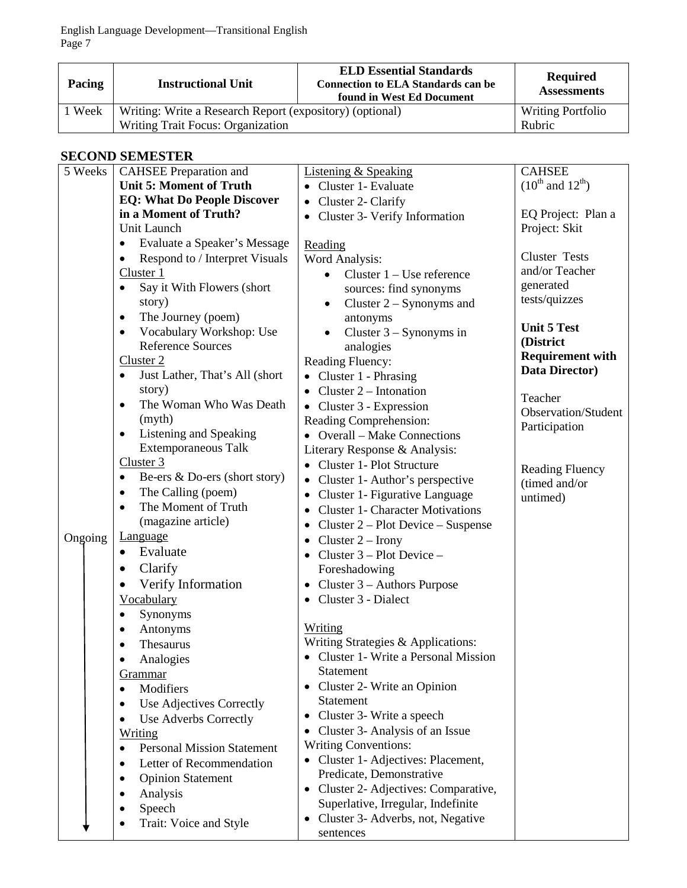| Pacing | <b>Instructional Unit</b>                                | <b>ELD Essential Standards</b><br><b>Connection to ELA Standards can be</b><br>found in West Ed Document | <b>Required</b><br><b>Assessments</b> |
|--------|----------------------------------------------------------|----------------------------------------------------------------------------------------------------------|---------------------------------------|
| 1 Week | Writing: Write a Research Report (expository) (optional) |                                                                                                          | <b>Writing Portfolio</b>              |
|        | Writing Trait Focus: Organization                        |                                                                                                          | Rubric                                |

# **SECOND SEMESTER**

| 5 Weeks | <b>CAHSEE Preparation and</b>                  | <b>Listening &amp; Speaking</b>                      | <b>CAHSEE</b>              |
|---------|------------------------------------------------|------------------------------------------------------|----------------------------|
|         | <b>Unit 5: Moment of Truth</b>                 | • Cluster 1- Evaluate                                | $(10^{th}$ and $12^{th}$ ) |
|         | <b>EQ: What Do People Discover</b>             | • Cluster 2- Clarify                                 |                            |
|         | in a Moment of Truth?                          | Cluster 3- Verify Information                        | EQ Project: Plan a         |
|         | Unit Launch                                    |                                                      | Project: Skit              |
|         | Evaluate a Speaker's Message<br>٠              | Reading                                              |                            |
|         | Respond to / Interpret Visuals<br>٠            | Word Analysis:                                       | <b>Cluster Tests</b>       |
|         | Cluster 1                                      | Cluster $1 -$ Use reference<br>$\bullet$             | and/or Teacher             |
|         | Say it With Flowers (short<br>$\bullet$        | sources: find synonyms                               | generated                  |
|         | story)                                         | Cluster $2 -$ Synonyms and<br>$\bullet$              | tests/quizzes              |
|         | The Journey (poem)<br>٠                        | antonyms                                             |                            |
|         | Vocabulary Workshop: Use<br>$\bullet$          | Cluster $3 -$ Synonyms in<br>$\bullet$               | <b>Unit 5 Test</b>         |
|         | <b>Reference Sources</b>                       | analogies                                            | (District                  |
|         | Cluster <sub>2</sub>                           | Reading Fluency:                                     | <b>Requirement with</b>    |
|         | Just Lather, That's All (short<br>$\bullet$    | $\bullet$ Cluster 1 - Phrasing                       | Data Director)             |
|         | story)                                         | Cluster 2 – Intonation<br>$\bullet$                  |                            |
|         | The Woman Who Was Death<br>$\bullet$           | • Cluster 3 - Expression                             | Teacher                    |
|         | (myth)                                         | Reading Comprehension:                               | Observation/Student        |
|         | Listening and Speaking<br>$\bullet$            | • Overall – Make Connections                         | Participation              |
|         | <b>Extemporaneous Talk</b>                     | Literary Response & Analysis:                        |                            |
|         | Cluster 3                                      | • Cluster 1- Plot Structure                          | <b>Reading Fluency</b>     |
|         | Be-ers & Do-ers (short story)<br>$\bullet$     | Cluster 1- Author's perspective                      | (timed and/or              |
|         | The Calling (poem)<br>٠                        | Cluster 1- Figurative Language                       | untimed)                   |
|         | The Moment of Truth                            | <b>Cluster 1- Character Motivations</b><br>$\bullet$ |                            |
|         | (magazine article)                             | Cluster $2 -$ Plot Device – Suspense<br>٠            |                            |
| Ongoing | <b>Language</b>                                | Cluster $2 -$ Irony<br>٠                             |                            |
|         | Evaluate<br>$\bullet$                          | Cluster $3 -$ Plot Device $-$                        |                            |
|         | Clarify<br>٠                                   | Foreshadowing                                        |                            |
|         | Verify Information<br>$\bullet$                | Cluster $3 -$ Authors Purpose<br>$\bullet$           |                            |
|         | Vocabulary                                     | • Cluster 3 - Dialect                                |                            |
|         | Synonyms<br>٠                                  |                                                      |                            |
|         | Antonyms<br>$\bullet$                          | Writing                                              |                            |
|         | Thesaurus<br>$\bullet$                         | Writing Strategies & Applications:                   |                            |
|         | Analogies<br>$\bullet$                         | • Cluster 1- Write a Personal Mission                |                            |
|         | Grammar                                        | Statement                                            |                            |
|         | Modifiers                                      | • Cluster 2- Write an Opinion                        |                            |
|         | Use Adjectives Correctly<br>$\bullet$          | Statement                                            |                            |
|         | <b>Use Adverbs Correctly</b><br>$\bullet$      | Cluster 3- Write a speech<br>٠                       |                            |
|         | Writing                                        | Cluster 3- Analysis of an Issue<br>$\bullet$         |                            |
|         | <b>Personal Mission Statement</b><br>$\bullet$ | <b>Writing Conventions:</b>                          |                            |
|         | Letter of Recommendation<br>$\bullet$          | • Cluster 1- Adjectives: Placement,                  |                            |
|         | <b>Opinion Statement</b><br>$\bullet$          | Predicate, Demonstrative                             |                            |
|         | Analysis                                       | • Cluster 2- Adjectives: Comparative,                |                            |
|         | Speech                                         | Superlative, Irregular, Indefinite                   |                            |
|         | Trait: Voice and Style                         | Cluster 3- Adverbs, not, Negative<br>٠               |                            |
|         |                                                | sentences                                            |                            |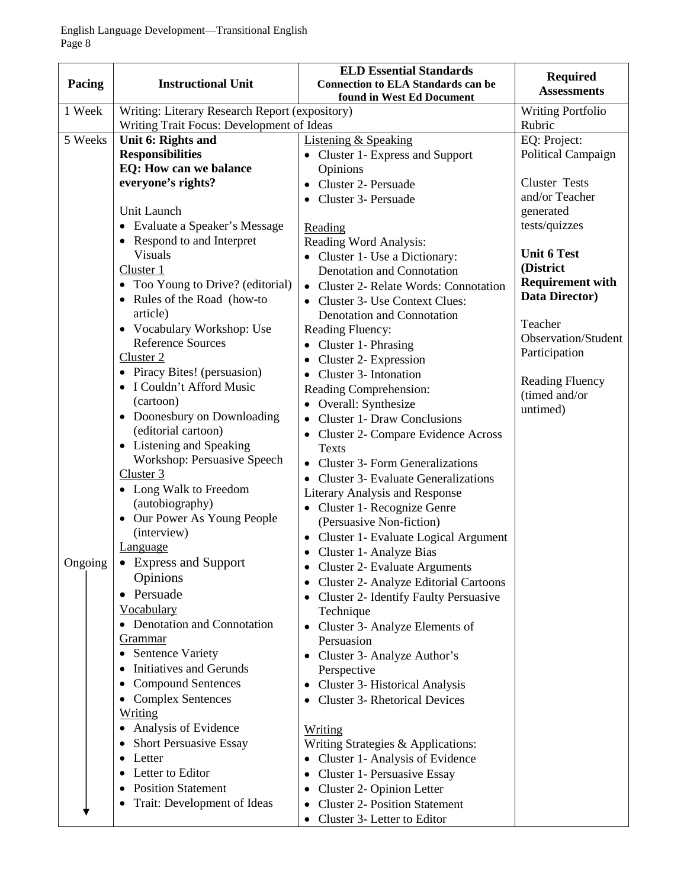|         |                                                        | <b>ELD Essential Standards</b>                                         | <b>Required</b>                           |
|---------|--------------------------------------------------------|------------------------------------------------------------------------|-------------------------------------------|
| Pacing  | <b>Instructional Unit</b>                              | <b>Connection to ELA Standards can be</b><br>found in West Ed Document | <b>Assessments</b>                        |
| 1 Week  | Writing: Literary Research Report (expository)         |                                                                        | <b>Writing Portfolio</b>                  |
|         | Writing Trait Focus: Development of Ideas              |                                                                        | Rubric                                    |
| 5 Weeks | Unit 6: Rights and                                     | <b>Listening &amp; Speaking</b>                                        | EQ: Project:                              |
|         | <b>Responsibilities</b>                                | • Cluster 1- Express and Support                                       | Political Campaign                        |
|         | EQ: How can we balance                                 | Opinions                                                               |                                           |
|         | everyone's rights?                                     | Cluster 2- Persuade<br>$\bullet$                                       | <b>Cluster Tests</b>                      |
|         |                                                        | Cluster 3- Persuade                                                    | and/or Teacher                            |
|         | Unit Launch                                            |                                                                        | generated                                 |
|         | • Evaluate a Speaker's Message                         | Reading                                                                | tests/quizzes                             |
|         | • Respond to and Interpret                             | Reading Word Analysis:                                                 |                                           |
|         | <b>Visuals</b>                                         | • Cluster 1- Use a Dictionary:                                         | <b>Unit 6 Test</b>                        |
|         | Cluster 1                                              | Denotation and Connotation                                             | (District                                 |
|         | • Too Young to Drive? (editorial)                      | <b>Cluster 2- Relate Words: Connotation</b><br>$\bullet$               | <b>Requirement with</b><br>Data Director) |
|         | Rules of the Road (how-to<br>٠                         | Cluster 3- Use Context Clues:                                          |                                           |
|         | article)                                               | Denotation and Connotation                                             | Teacher                                   |
|         | • Vocabulary Workshop: Use<br><b>Reference Sources</b> | Reading Fluency:                                                       | Observation/Student                       |
|         | Cluster 2                                              | • Cluster 1- Phrasing                                                  | Participation                             |
|         | • Piracy Bites! (persuasion)                           | Cluster 2- Expression<br>٠                                             |                                           |
|         | • I Couldn't Afford Music                              | Cluster 3- Intonation<br>٠                                             | <b>Reading Fluency</b>                    |
|         | (cartoon)                                              | Reading Comprehension:                                                 | (timed and/or                             |
|         | • Doonesbury on Downloading                            | Overall: Synthesize<br>$\bullet$<br><b>Cluster 1- Draw Conclusions</b> | untimed)                                  |
|         | (editorial cartoon)                                    | $\bullet$<br>Cluster 2- Compare Evidence Across                        |                                           |
|         | • Listening and Speaking                               | <b>Texts</b>                                                           |                                           |
|         | Workshop: Persuasive Speech                            | <b>Cluster 3- Form Generalizations</b><br>$\bullet$                    |                                           |
|         | Cluster 3                                              | <b>Cluster 3- Evaluate Generalizations</b>                             |                                           |
|         | • Long Walk to Freedom                                 | Literary Analysis and Response                                         |                                           |
|         | (autobiography)                                        | • Cluster 1- Recognize Genre                                           |                                           |
|         | Our Power As Young People<br>$\bullet$                 | (Persuasive Non-fiction)                                               |                                           |
|         | (interview)                                            | • Cluster 1- Evaluate Logical Argument                                 |                                           |
|         | <b>Language</b>                                        | Cluster 1- Analyze Bias                                                |                                           |
| Ongoing | $\bullet$ Express and Support                          | <b>Cluster 2- Evaluate Arguments</b>                                   |                                           |
|         | Opinions                                               | Cluster 2- Analyze Editorial Cartoons<br>٠                             |                                           |
|         | Persuade<br>٠                                          | <b>Cluster 2- Identify Faulty Persuasive</b><br>$\bullet$              |                                           |
|         | Vocabulary                                             | Technique                                                              |                                           |
|         | • Denotation and Connotation                           | • Cluster 3- Analyze Elements of                                       |                                           |
|         | Grammar                                                | Persuasion                                                             |                                           |
|         | • Sentence Variety                                     | Cluster 3- Analyze Author's                                            |                                           |
|         | Initiatives and Gerunds                                | Perspective                                                            |                                           |
|         | <b>Compound Sentences</b>                              | <b>Cluster 3- Historical Analysis</b><br>٠                             |                                           |
|         | <b>Complex Sentences</b>                               | <b>Cluster 3- Rhetorical Devices</b><br>٠                              |                                           |
|         | Writing                                                |                                                                        |                                           |
|         | • Analysis of Evidence                                 | <u>Writing</u>                                                         |                                           |
|         | <b>Short Persuasive Essay</b><br>٠                     | Writing Strategies & Applications:                                     |                                           |
|         | Letter                                                 | Cluster 1- Analysis of Evidence<br>$\bullet$                           |                                           |
|         | Letter to Editor                                       | Cluster 1- Persuasive Essay<br>$\bullet$                               |                                           |
|         | <b>Position Statement</b>                              | Cluster 2- Opinion Letter                                              |                                           |
|         | Trait: Development of Ideas                            | <b>Cluster 2- Position Statement</b><br>٠                              |                                           |
|         |                                                        | Cluster 3- Letter to Editor                                            |                                           |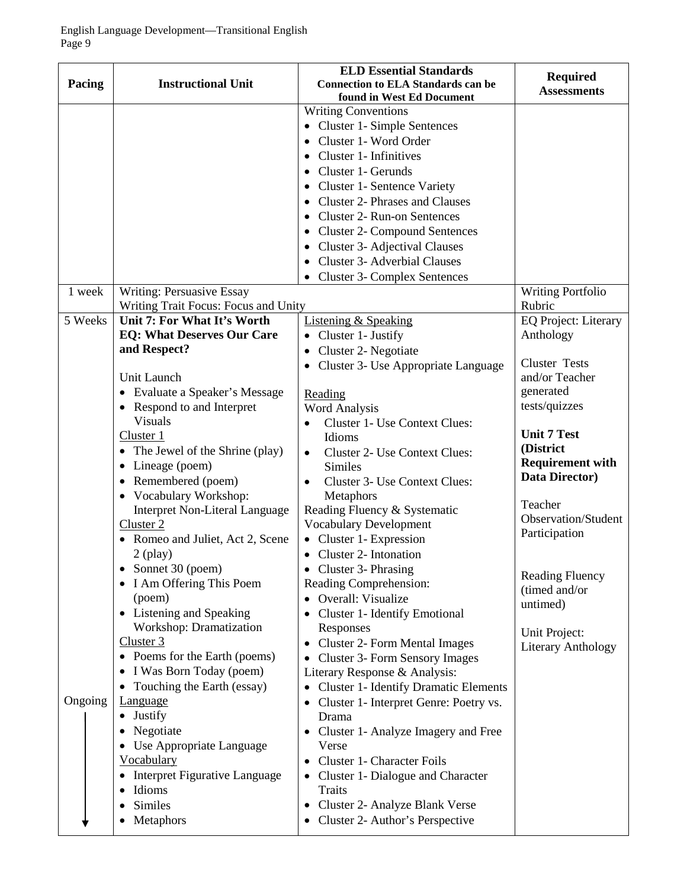| Pacing  | <b>Instructional Unit</b>                                                                                                                                                                     | <b>ELD Essential Standards</b><br><b>Connection to ELA Standards can be</b><br>found in West Ed Document                                                                                                                                                                                                                                                         | <b>Required</b><br><b>Assessments</b>                                        |
|---------|-----------------------------------------------------------------------------------------------------------------------------------------------------------------------------------------------|------------------------------------------------------------------------------------------------------------------------------------------------------------------------------------------------------------------------------------------------------------------------------------------------------------------------------------------------------------------|------------------------------------------------------------------------------|
|         |                                                                                                                                                                                               | <b>Writing Conventions</b><br>• Cluster 1- Simple Sentences<br>Cluster 1- Word Order<br>$\bullet$<br>Cluster 1- Infinitives<br>٠<br>Cluster 1- Gerunds<br>$\bullet$<br>Cluster 1- Sentence Variety<br><b>Cluster 2- Phrases and Clauses</b><br>Cluster 2- Run-on Sentences<br><b>Cluster 2- Compound Sentences</b><br>$\bullet$<br>Cluster 3- Adjectival Clauses |                                                                              |
|         |                                                                                                                                                                                               | <b>Cluster 3- Adverbial Clauses</b><br><b>Cluster 3- Complex Sentences</b>                                                                                                                                                                                                                                                                                       |                                                                              |
| 1 week  | Writing: Persuasive Essay<br>Writing Trait Focus: Focus and Unity                                                                                                                             |                                                                                                                                                                                                                                                                                                                                                                  | <b>Writing Portfolio</b><br>Rubric                                           |
| 5 Weeks | Unit 7: For What It's Worth<br><b>EQ: What Deserves Our Care</b><br>and Respect?                                                                                                              | <b>Listening &amp; Speaking</b><br>• Cluster 1- Justify<br>Cluster 2- Negotiate<br>$\bullet$                                                                                                                                                                                                                                                                     | <b>EQ Project: Literary</b><br>Anthology<br><b>Cluster Tests</b>             |
|         | Unit Launch<br>• Evaluate a Speaker's Message<br>Respond to and Interpret<br>$\bullet$<br><b>Visuals</b>                                                                                      | Cluster 3- Use Appropriate Language<br>$\bullet$<br>Reading<br><b>Word Analysis</b><br>Cluster 1- Use Context Clues:<br>$\bullet$                                                                                                                                                                                                                                | and/or Teacher<br>generated<br>tests/quizzes                                 |
|         | Cluster 1<br>• The Jewel of the Shrine (play)<br>Lineage (poem)<br>٠<br>Remembered (poem)<br>• Vocabulary Workshop:                                                                           | Idioms<br><b>Cluster 2- Use Context Clues:</b><br>$\bullet$<br><b>Similes</b><br>Cluster 3- Use Context Clues:<br>$\bullet$<br>Metaphors                                                                                                                                                                                                                         | <b>Unit 7 Test</b><br>(District<br><b>Requirement with</b><br>Data Director) |
|         | <b>Interpret Non-Literal Language</b><br>Cluster <sub>2</sub><br>• Romeo and Juliet, Act 2, Scene<br>$2$ (play)                                                                               | Reading Fluency & Systematic<br><b>Vocabulary Development</b><br>Cluster 1- Expression<br>• Cluster 2- Intonation                                                                                                                                                                                                                                                | Teacher<br><b>Observation/Student</b><br>Participation                       |
|         | Sonnet 30 (poem)<br>٠<br>I Am Offering This Poem<br>(poem)<br>Listening and Speaking<br>٠                                                                                                     | • Cluster 3- Phrasing<br>Reading Comprehension:<br>Overall: Visualize<br>Cluster 1- Identify Emotional                                                                                                                                                                                                                                                           | <b>Reading Fluency</b><br>(timed and/or<br>untimed)                          |
|         | Workshop: Dramatization<br>Cluster 3<br>• Poems for the Earth (poems)<br>I Was Born Today (poem)                                                                                              | Responses<br><b>Cluster 2- Form Mental Images</b><br>٠<br>Cluster 3- Form Sensory Images<br>$\bullet$<br>Literary Response & Analysis:                                                                                                                                                                                                                           | Unit Project:<br><b>Literary Anthology</b>                                   |
| Ongoing | Touching the Earth (essay)<br><b>Language</b><br>• Justify<br>Negotiate<br>• Use Appropriate Language<br><b>Vocabulary</b><br>Interpret Figurative Language<br>Idioms<br>Similes<br>Metaphors | <b>Cluster 1- Identify Dramatic Elements</b><br>٠<br>Cluster 1- Interpret Genre: Poetry vs.<br>Drama<br>Cluster 1- Analyze Imagery and Free<br>Verse<br>Cluster 1- Character Foils<br>$\bullet$<br>Cluster 1- Dialogue and Character<br>$\bullet$<br><b>Traits</b><br>Cluster 2- Analyze Blank Verse<br>٠<br>Cluster 2- Author's Perspective                     |                                                                              |